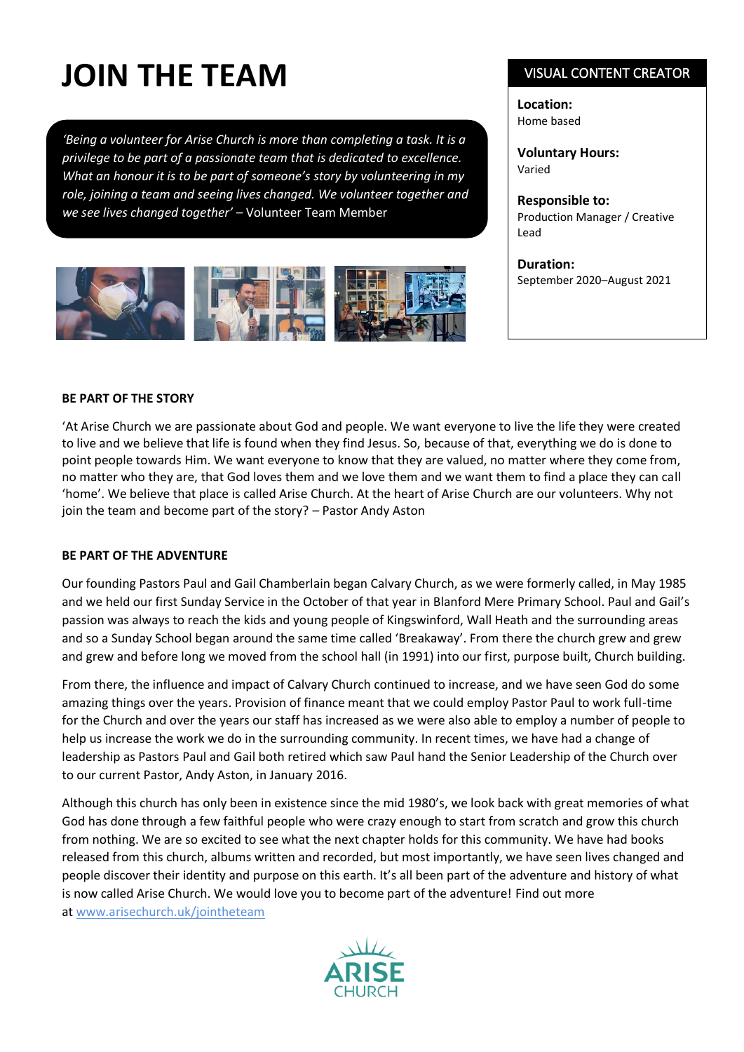# **JOIN THE TEAM**

*'Being a volunteer for Arise Church is more than completing a task. It is a privilege to be part of a passionate team that is dedicated to excellence. What an honour it is to be part of someone's story by volunteering in my role, joining a team and seeing lives changed. We volunteer together and we see lives changed together'* – Volunteer Team Member



### VISUAL CONTENT CREATOR

**Location:** Home based

**Voluntary Hours:** Varied

**Responsible to:**  Production Manager / Creative Lead

**Duration:** September 2020–August 2021

### **BE PART OF THE STORY**

'At Arise Church we are passionate about God and people. We want everyone to live the life they were created to live and we believe that life is found when they find Jesus. So, because of that, everything we do is done to point people towards Him. We want everyone to know that they are valued, no matter where they come from, no matter who they are, that God loves them and we love them and we want them to find a place they can call 'home'. We believe that place is called Arise Church. At the heart of Arise Church are our volunteers. Why not join the team and become part of the story? – Pastor Andy Aston

#### **BE PART OF THE ADVENTURE**

Our founding Pastors Paul and Gail Chamberlain began Calvary Church, as we were formerly called, in May 1985 and we held our first Sunday Service in the October of that year in Blanford Mere Primary School. Paul and Gail's passion was always to reach the kids and young people of Kingswinford, Wall Heath and the surrounding areas and so a Sunday School began around the same time called 'Breakaway'. From there the church grew and grew and grew and before long we moved from the school hall (in 1991) into our first, purpose built, Church building.

From there, the influence and impact of Calvary Church continued to increase, and we have seen God do some amazing things over the years. Provision of finance meant that we could employ Pastor Paul to work full-time for the Church and over the years our staff has increased as we were also able to employ a number of people to help us increase the work we do in the surrounding community. In recent times, we have had a change of leadership as Pastors Paul and Gail both retired which saw Paul hand the Senior Leadership of the Church over to our current Pastor, Andy Aston, in January 2016.

Although this church has only been in existence since the mid 1980's, we look back with great memories of what God has done through a few faithful people who were crazy enough to start from scratch and grow this church from nothing. We are so excited to see what the next chapter holds for this community. We have had books released from this church, albums written and recorded, but most importantly, we have seen lives changed and people discover their identity and purpose on this earth. It's all been part of the adventure and history of what is now called Arise Church. We would love you to become part of the adventure! Find out more at [www.arisechurch.uk/jointheteam](http://www.arisechurch.uk/jointheteam)